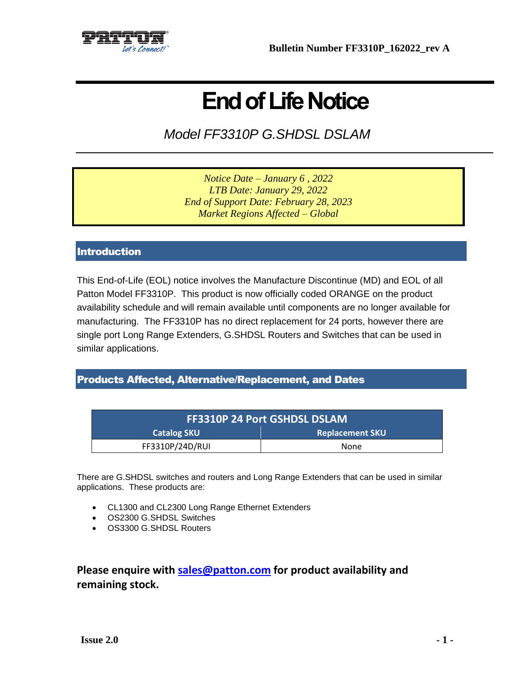

# **End of Life Notice**

*Model FF3310P G.SHDSL DSLAM*

*Notice Date – January 6 , 2022 LTB Date: January 29, 2022 End of Support Date: February 28, 2023 Market Regions Affected – Global*

### **Introduction**

This End-of-Life (EOL) notice involves the Manufacture Discontinue (MD) and EOL of all Patton Model FF3310P. This product is now officially coded ORANGE on the product availability schedule and will remain available until components are no longer available for manufacturing. The FF3310P has no direct replacement for 24 ports, however there are single port Long Range Extenders, G.SHDSL Routers and Switches that can be used in similar applications.

#### Products Affected, Alternative/Replacement, and Dates

| <b>FF3310P 24 Port GSHDSL DSLAM</b> |                        |
|-------------------------------------|------------------------|
| <b>Catalog SKU</b>                  | <b>Replacement SKU</b> |
| FF3310P/24D/RUI                     | None                   |

There are G.SHDSL switches and routers and Long Range Extenders that can be used in similar applications. These products are:

- CL1300 and CL2300 Long Range Ethernet Extenders
- OS2300 G.SHDSL Switches
- OS3300 G.SHDSL Routers

# **Please enquire with [sales@patton.com](mailto:sales@patton.com) for product availability and remaining stock.**